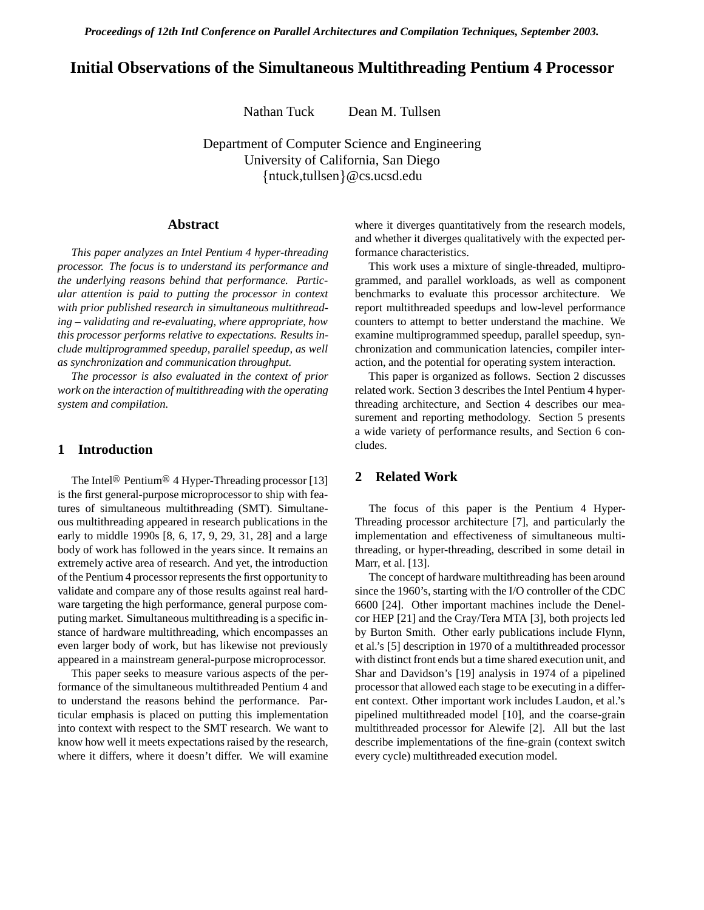*Proceedings of 12th Intl Conference on Parallel Architectures and Compilation Techniques, September 2003.*

# **Initial Observations of the Simultaneous Multithreading Pentium 4 Processor**

Nathan Tuck Dean M. Tullsen

Department of Computer Science and Engineering University of California, San Diego  $\{\text{ntuck, tullsen}\}$ @cs.ucsd.edu

### **Abstract**

*This paper analyzes an Intel Pentium 4 hyper-threading processor. The focus is to understand its performance and the underlying reasons behind that performance. Particular attention is paid to putting the processor in context with prior published research in simultaneous multithreading – validating and re-evaluating, where appropriate, how this processor performs relative to expectations. Results include multiprogrammed speedup, parallel speedup, as well as synchronization and communication throughput.*

*The processor is also evaluated in the context of prior work on the interaction of multithreading with the operating system and compilation.*

# **1 Introduction**

The Intel<sup>®</sup> Pentium<sup>®</sup> 4 Hyper-Threading processor [13] is the first general-purpose microprocessor to ship with features of simultaneous multithreading (SMT). Simultaneous multithreading appeared in research publications in the early to middle 1990s [8, 6, 17, 9, 29, 31, 28] and a large body of work has followed in the years since. It remains an extremely active area of research. And yet, the introduction of the Pentium 4 processor represents the first opportunity to validate and compare any of those results against real hardware targeting the high performance, general purpose computing market. Simultaneous multithreading is a specific instance of hardware multithreading, which encompasses an even larger body of work, but has likewise not previously appeared in a mainstream general-purpose microprocessor.

This paper seeks to measure various aspects of the performance of the simultaneous multithreaded Pentium 4 and to understand the reasons behind the performance. Particular emphasis is placed on putting this implementation into context with respect to the SMT research. We want to know how well it meets expectations raised by the research, where it differs, where it doesn't differ. We will examine where it diverges quantitatively from the research models, and whether it diverges qualitatively with the expected performance characteristics.

This work uses a mixture of single-threaded, multiprogrammed, and parallel workloads, as well as component benchmarks to evaluate this processor architecture. We report multithreaded speedups and low-level performance counters to attempt to better understand the machine. We examine multiprogrammed speedup, parallel speedup, synchronization and communication latencies, compiler interaction, and the potential for operating system interaction.

This paper is organized as follows. Section 2 discusses related work. Section 3 describes the Intel Pentium 4 hyperthreading architecture, and Section 4 describes our measurement and reporting methodology. Section 5 presents a wide variety of performance results, and Section 6 concludes.

# **2 Related Work**

The focus of this paper is the Pentium 4 Hyper-Threading processor architecture [7], and particularly the implementation and effectiveness of simultaneous multithreading, or hyper-threading, described in some detail in Marr, et al. [13].

The concept of hardware multithreading has been around since the 1960's, starting with the I/O controller of the CDC 6600 [24]. Other important machines include the Denelcor HEP [21] and the Cray/Tera MTA [3], both projects led by Burton Smith. Other early publications include Flynn, et al.'s [5] description in 1970 of a multithreaded processor with distinct front ends but a time shared execution unit, and Shar and Davidson's [19] analysis in 1974 of a pipelined processor that allowed each stage to be executing in a different context. Other important work includes Laudon, et al.'s pipelined multithreaded model [10], and the coarse-grain multithreaded processor for Alewife [2]. All but the last describe implementations of the fine-grain (context switch every cycle) multithreaded execution model.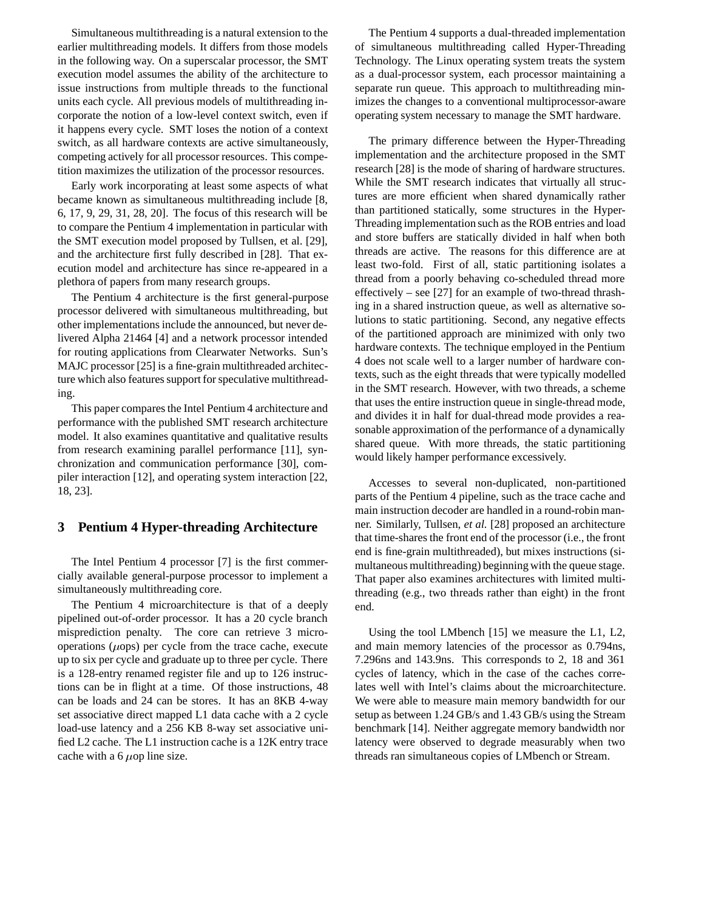Simultaneous multithreading is a natural extension to the earlier multithreading models. It differs from those models in the following way. On a superscalar processor, the SMT execution model assumes the ability of the architecture to issue instructions from multiple threads to the functional units each cycle. All previous models of multithreading incorporate the notion of a low-level context switch, even if it happens every cycle. SMT loses the notion of a context switch, as all hardware contexts are active simultaneously, competing actively for all processor resources. This competition maximizes the utilization of the processor resources.

Early work incorporating at least some aspects of what became known as simultaneous multithreading include [8, 6, 17, 9, 29, 31, 28, 20]. The focus of this research will be to compare the Pentium 4 implementation in particular with the SMT execution model proposed by Tullsen, et al. [29], and the architecture first fully described in [28]. That execution model and architecture has since re-appeared in a plethora of papers from many research groups.

The Pentium 4 architecture is the first general-purpose processor delivered with simultaneous multithreading, but other implementations include the announced, but never delivered Alpha 21464 [4] and a network processor intended for routing applications from Clearwater Networks. Sun's MAJC processor [25] is a fine-grain multithreaded architecture which also features support for speculative multithreading.

This paper compares the Intel Pentium 4 architecture and performance with the published SMT research architecture model. It also examines quantitative and qualitative results from research examining parallel performance [11], synchronization and communication performance [30], compiler interaction [12], and operating system interaction [22, 18, 23].

### **3 Pentium 4 Hyper-threading Architecture**

The Intel Pentium 4 processor [7] is the first commercially available general-purpose processor to implement a simultaneously multithreading core.

The Pentium 4 microarchitecture is that of a deeply pipelined out-of-order processor. It has a 20 cycle branch misprediction penalty. The core can retrieve 3 microoperations  $(\mu$ ops) per cycle from the trace cache, execute up to six per cycle and graduate up to three per cycle. There is a 128-entry renamed register file and up to 126 instructions can be in flight at a time. Of those instructions, 48 can be loads and 24 can be stores. It has an 8KB 4-way set associative direct mapped L1 data cache with a 2 cycle load-use latency and a 256 KB 8-way set associative unified L2 cache. The L1 instruction cache is a 12K entry trace cache with a 6  $\mu$ op line size.

The Pentium 4 supports a dual-threaded implementation of simultaneous multithreading called Hyper-Threading Technology. The Linux operating system treats the system as a dual-processor system, each processor maintaining a separate run queue. This approach to multithreading minimizes the changes to a conventional multiprocessor-aware operating system necessary to manage the SMT hardware.

The primary difference between the Hyper-Threading implementation and the architecture proposed in the SMT research [28] is the mode of sharing of hardware structures. While the SMT research indicates that virtually all structures are more efficient when shared dynamically rather than partitioned statically, some structures in the Hyper-Threading implementation such as the ROB entries and load and store buffers are statically divided in half when both threads are active. The reasons for this difference are at least two-fold. First of all, static partitioning isolates a thread from a poorly behaving co-scheduled thread more effectively – see [27] for an example of two-thread thrashing in a shared instruction queue, as well as alternative solutions to static partitioning. Second, any negative effects of the partitioned approach are minimized with only two hardware contexts. The technique employed in the Pentium 4 does not scale well to a larger number of hardware contexts, such as the eight threads that were typically modelled in the SMT research. However, with two threads, a scheme that uses the entire instruction queue in single-thread mode, and divides it in half for dual-thread mode provides a reasonable approximation of the performance of a dynamically shared queue. With more threads, the static partitioning would likely hamper performance excessively.

Accesses to several non-duplicated, non-partitioned parts of the Pentium 4 pipeline, such as the trace cache and main instruction decoder are handled in a round-robin manner. Similarly, Tullsen, *et al.* [28] proposed an architecture that time-shares the front end of the processor (i.e., the front end is fine-grain multithreaded), but mixes instructions (simultaneous multithreading) beginning with the queue stage. That paper also examines architectures with limited multithreading (e.g., two threads rather than eight) in the front end.

Using the tool LMbench [15] we measure the L1, L2, and main memory latencies of the processor as 0.794ns, 7.296ns and 143.9ns. This corresponds to 2, 18 and 361 cycles of latency, which in the case of the caches correlates well with Intel's claims about the microarchitecture. We were able to measure main memory bandwidth for our setup as between 1.24 GB/s and 1.43 GB/s using the Stream benchmark [14]. Neither aggregate memory bandwidth nor latency were observed to degrade measurably when two threads ran simultaneous copies of LMbench or Stream.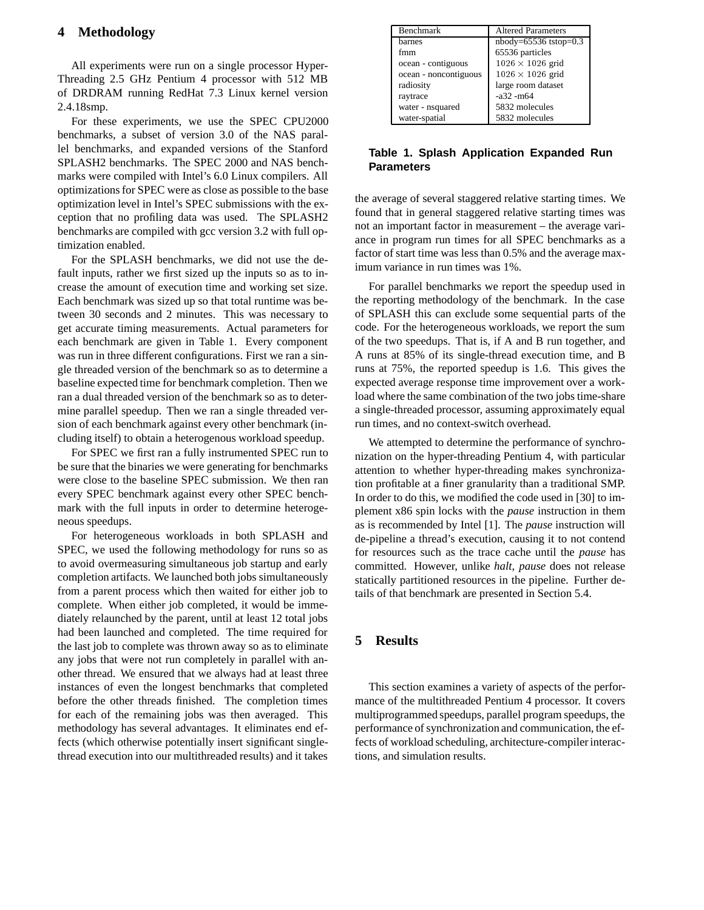# **4 Methodology**

All experiments were run on a single processor Hyper-Threading 2.5 GHz Pentium 4 processor with 512 MB of DRDRAM running RedHat 7.3 Linux kernel version 2.4.18smp.

For these experiments, we use the SPEC CPU2000 benchmarks, a subset of version 3.0 of the NAS parallel benchmarks, and expanded versions of the Stanford SPLASH2 benchmarks. The SPEC 2000 and NAS benchmarks were compiled with Intel's 6.0 Linux compilers. All optimizations for SPEC were as close as possible to the base optimization level in Intel's SPEC submissions with the exception that no profiling data was used. The SPLASH2 benchmarks are compiled with gcc version 3.2 with full optimization enabled.

For the SPLASH benchmarks, we did not use the default inputs, rather we first sized up the inputs so as to increase the amount of execution time and working set size. Each benchmark was sized up so that total runtime was between 30 seconds and 2 minutes. This was necessary to get accurate timing measurements. Actual parameters for each benchmark are given in Table 1. Every component was run in three different configurations. First we ran a single threaded version of the benchmark so as to determine a baseline expected time for benchmark completion. Then we ran a dual threaded version of the benchmark so as to determine parallel speedup. Then we ran a single threaded version of each benchmark against every other benchmark (including itself) to obtain a heterogenous workload speedup.

For SPEC we first ran a fully instrumented SPEC run to be sure that the binaries we were generating for benchmarks were close to the baseline SPEC submission. We then ran every SPEC benchmark against every other SPEC benchmark with the full inputs in order to determine heterogeneous speedups.

For heterogeneous workloads in both SPLASH and SPEC, we used the following methodology for runs so as to avoid overmeasuring simultaneous job startup and early completion artifacts. We launched both jobs simultaneously from a parent process which then waited for either job to complete. When either job completed, it would be immediately relaunched by the parent, until at least 12 total jobs had been launched and completed. The time required for the last job to complete was thrown away so as to eliminate any jobs that were not run completely in parallel with another thread. We ensured that we always had at least three instances of even the longest benchmarks that completed before the other threads finished. The completion times for each of the remaining jobs was then averaged. This methodology has several advantages. It eliminates end effects (which otherwise potentially insert significant singlethread execution into our multithreaded results) and it takes

| Benchmark             | Altered Parameters       |  |
|-----------------------|--------------------------|--|
| barnes                | $n$ body=65536 tstop=0.3 |  |
| fmm                   | 65536 particles          |  |
| ocean - contiguous    | $1026 \times 1026$ grid  |  |
| ocean - noncontiguous | $1026 \times 1026$ grid  |  |
| radiosity             | large room dataset       |  |
| raytrace              | $-a32 - m64$             |  |
| water - nsquared      | 5832 molecules           |  |
| water-spatial         | 5832 molecules           |  |

### **Table 1. Splash Application Expanded Run Parameters**

the average of several staggered relative starting times. We found that in general staggered relative starting times was not an important factor in measurement – the average variance in program run times for all SPEC benchmarks as a factor of start time was less than 0.5% and the average maximum variance in run times was 1%.

For parallel benchmarks we report the speedup used in the reporting methodology of the benchmark. In the case of SPLASH this can exclude some sequential parts of the code. For the heterogeneous workloads, we report the sum of the two speedups. That is, if A and B run together, and A runs at 85% of its single-thread execution time, and B runs at 75%, the reported speedup is 1.6. This gives the expected average response time improvement over a workload where the same combination of the two jobs time-share a single-threaded processor, assuming approximately equal run times, and no context-switch overhead.

We attempted to determine the performance of synchronization on the hyper-threading Pentium 4, with particular attention to whether hyper-threading makes synchronization profitable at a finer granularity than a traditional SMP. In order to do this, we modified the code used in [30] to implement x86 spin locks with the *pause* instruction in them as is recommended by Intel [1]. The *pause* instruction will de-pipeline a thread's execution, causing it to not contend for resources such as the trace cache until the *pause* has committed. However, unlike *halt*, *pause* does not release statically partitioned resources in the pipeline. Further details of that benchmark are presented in Section 5.4.

# **5 Results**

This section examines a variety of aspects of the performance of the multithreaded Pentium 4 processor. It covers multiprogrammed speedups, parallel program speedups, the performance of synchronization and communication, the effects of workload scheduling, architecture-compiler interactions, and simulation results.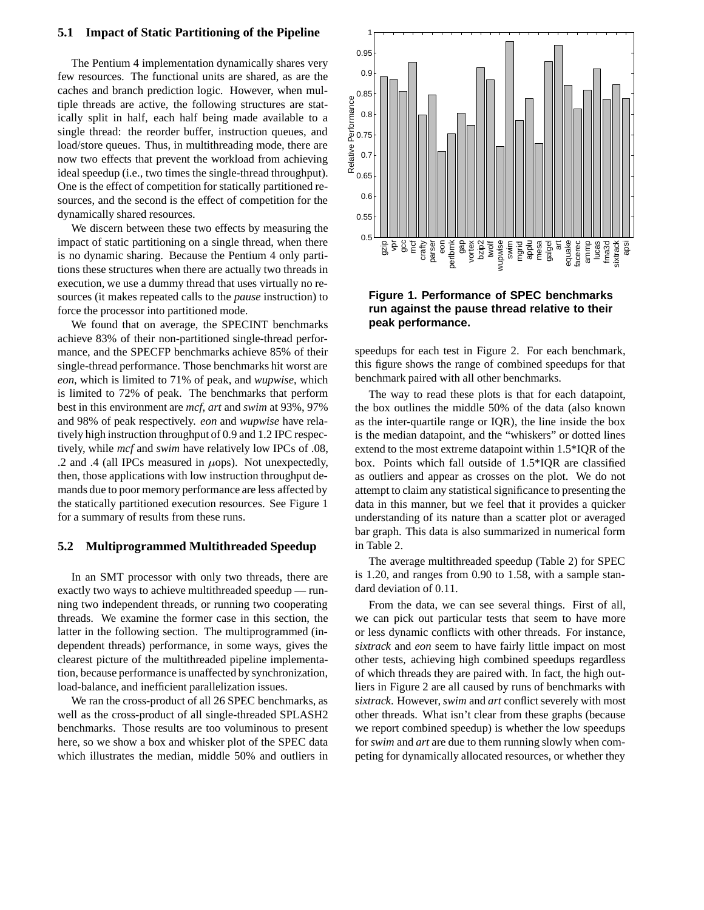#### **5.1 Impact of Static Partitioning of the Pipeline**

The Pentium 4 implementation dynamically shares very few resources. The functional units are shared, as are the caches and branch prediction logic. However, when multiple threads are active, the following structures are statically split in half, each half being made available to a single thread: the reorder buffer, instruction queues, and load/store queues. Thus, in multithreading mode, there are now two effects that prevent the workload from achieving ideal speedup (i.e., two times the single-thread throughput). One is the effect of competition for statically partitioned resources, and the second is the effect of competition for the dynamically shared resources.

We discern between these two effects by measuring the impact of static partitioning on a single thread, when there is no dynamic sharing. Because the Pentium 4 only partitions these structures when there are actually two threads in execution, we use a dummy thread that uses virtually no resources (it makes repeated calls to the *pause* instruction) to force the processor into partitioned mode.

We found that on average, the SPECINT benchmarks achieve 83% of their non-partitioned single-thread performance, and the SPECFP benchmarks achieve 85% of their single-thread performance. Those benchmarks hit worst are *eon*, which is limited to 71% of peak, and *wupwise*, which is limited to 72% of peak. The benchmarks that perform best in this environment are *mcf*, *art* and *swim* at 93%, 97% and 98% of peak respectively. *eon* and *wupwise* have relatively high instruction throughput of 0.9 and 1.2 IPC respectively, while *mcf* and *swim* have relatively low IPCs of .08, .2 and .4 (all IPCs measured in  $\mu$ ops). Not unexpectedly, then, those applications with low instruction throughput demands due to poor memory performance are less affected by the statically partitioned execution resources. See Figure 1 for a summary of results from these runs.

#### **5.2 Multiprogrammed Multithreaded Speedup**

In an SMT processor with only two threads, there are exactly two ways to achieve multithreaded speedup — running two independent threads, or running two cooperating threads. We examine the former case in this section, the latter in the following section. The multiprogrammed (independent threads) performance, in some ways, gives the clearest picture of the multithreaded pipeline implementation, because performance is unaffected by synchronization, load-balance, and inefficient parallelization issues.

We ran the cross-product of all 26 SPEC benchmarks, as well as the cross-product of all single-threaded SPLASH2 benchmarks. Those results are too voluminous to present here, so we show a box and whisker plot of the SPEC data which illustrates the median, middle 50% and outliers in



# **Figure 1. Performance of SPEC benchmarks run against the pause thread relative to their peak performance.**

speedups for each test in Figure 2. For each benchmark, this figure shows the range of combined speedups for that benchmark paired with all other benchmarks.

The way to read these plots is that for each datapoint, the box outlines the middle 50% of the data (also known as the inter-quartile range or IQR), the line inside the box is the median datapoint, and the "whiskers" or dotted lines extend to the most extreme datapoint within 1.5\*IQR of the box. Points which fall outside of 1.5\*IQR are classified as outliers and appear as crosses on the plot. We do not attempt to claim any statistical significance to presenting the data in this manner, but we feel that it provides a quicker understanding of its nature than a scatter plot or averaged bar graph. This data is also summarized in numerical form in Table 2.

The average multithreaded speedup (Table 2) for SPEC is 1.20, and ranges from 0.90 to 1.58, with a sample standard deviation of 0.11.

From the data, we can see several things. First of all, we can pick out particular tests that seem to have more or less dynamic conflicts with other threads. For instance, *sixtrack* and *eon* seem to have fairly little impact on most other tests, achieving high combined speedups regardless of which threads they are paired with. In fact, the high outliers in Figure 2 are all caused by runs of benchmarks with *sixtrack*. However,*swim* and *art* conflict severely with most other threads. What isn't clear from these graphs (because we report combined speedup) is whether the low speedups for *swim* and *art* are due to them running slowly when competing for dynamically allocated resources, or whether they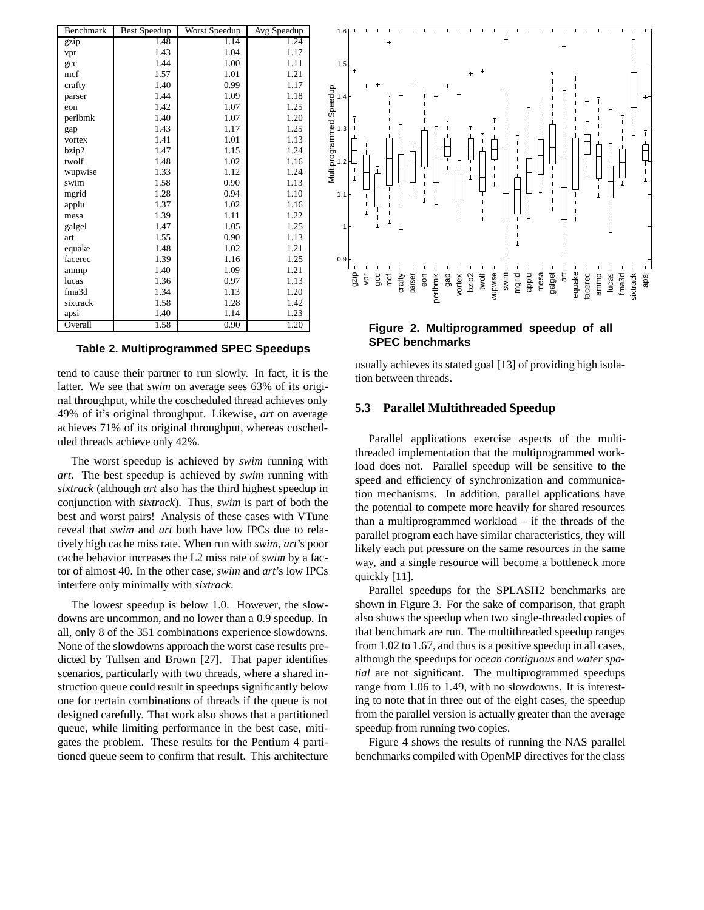| Benchmark | <b>Best Speedup</b> | Worst Speedup | Avg Speedup |
|-----------|---------------------|---------------|-------------|
| gzip      | 1.48                | 1.14          | 1.24        |
| vpr       | 1.43                | 1.04          | 1.17        |
| gcc       | 1.44                | 1.00          | 1.11        |
| mcf       | 1.57                | 1.01          | 1.21        |
| crafty    | 1.40                | 0.99          | 1.17        |
| parser    | 1.44                | 1.09          | 1.18        |
| eon       | 1.42                | 1.07          | 1.25        |
| perlbmk   | 1.40                | 1.07          | 1.20        |
| gap       | 1.43                | 1.17          | 1.25        |
| vortex    | 1.41                | 1.01          | 1.13        |
| bzip2     | 1.47                | 1.15          | 1.24        |
| twolf     | 1.48                | 1.02          | 1.16        |
| wupwise   | 1.33                | 1.12          | 1.24        |
| swim      | 1.58                | 0.90          | 1.13        |
| mgrid     | 1.28                | 0.94          | 1.10        |
| applu     | 1.37                | 1.02          | 1.16        |
| mesa      | 1.39                | 1.11          | 1.22        |
| galgel    | 1.47                | 1.05          | 1.25        |
| art       | 1.55                | 0.90          | 1.13        |
| equake    | 1.48                | 1.02          | 1.21        |
| facerec   | 1.39                | 1.16          | 1.25        |
| ammp      | 1.40                | 1.09          | 1.21        |
| lucas     | 1.36                | 0.97          | 1.13        |
| fma3d     | 1.34                | 1.13          | 1.20        |
| sixtrack  | 1.58                | 1.28          | 1.42        |
| apsi      | 1.40                | 1.14          | 1.23        |
| Overall   | 1.58                | 0.90          | 1.20        |

**Table 2. Multiprogrammed SPEC Speedups**

tend to cause their partner to run slowly. In fact, it is the latter. We see that *swim* on average sees 63% of its original throughput, while the coscheduled thread achieves only 49% of it's original throughput. Likewise, *art* on average achieves 71% of its original throughput, whereas coscheduled threads achieve only 42%.

The worst speedup is achieved by *swim* running with *art*. The best speedup is achieved by *swim* running with *sixtrack* (although *art* also has the third highest speedup in conjunction with *sixtrack*). Thus, *swim* is part of both the best and worst pairs! Analysis of these cases with VTune reveal that *swim* and *art* both have low IPCs due to relatively high cache miss rate. When run with *swim*, *art*'s poor cache behavior increases the L2 miss rate of *swim* by a factor of almost 40. In the other case, *swim* and *art*'s low IPCs interfere only minimally with *sixtrack*.

The lowest speedup is below 1.0. However, the slowdowns are uncommon, and no lower than a 0.9 speedup. In all, only 8 of the 351 combinations experience slowdowns. None of the slowdowns approach the worst case results predicted by Tullsen and Brown [27]. That paper identifies scenarios, particularly with two threads, where a shared instruction queue could result in speedups significantly below one for certain combinations of threads if the queue is not designed carefully. That work also shows that a partitioned queue, while limiting performance in the best case, mitigates the problem. These results for the Pentium 4 partitioned queue seem to confirm that result. This architecture



### **Figure 2. Multiprogrammed speedup of all SPEC benchmarks**

usually achieves its stated goal [13] of providing high isolation between threads.

### **5.3 Parallel Multithreaded Speedup**

Parallel applications exercise aspects of the multithreaded implementation that the multiprogrammed workload does not. Parallel speedup will be sensitive to the speed and efficiency of synchronization and communication mechanisms. In addition, parallel applications have the potential to compete more heavily for shared resources than a multiprogrammed workload – if the threads of the parallel program each have similar characteristics, they will likely each put pressure on the same resources in the same way, and a single resource will become a bottleneck more quickly [11].

Parallel speedups for the SPLASH2 benchmarks are shown in Figure 3. For the sake of comparison, that graph also shows the speedup when two single-threaded copies of that benchmark are run. The multithreaded speedup ranges from 1.02 to 1.67, and thus is a positive speedup in all cases, although the speedups for *ocean contiguous* and *water spatial* are not significant. The multiprogrammed speedups range from 1.06 to 1.49, with no slowdowns. It is interesting to note that in three out of the eight cases, the speedup from the parallel version is actually greater than the average speedup from running two copies.

Figure 4 shows the results of running the NAS parallel benchmarks compiled with OpenMP directives for the class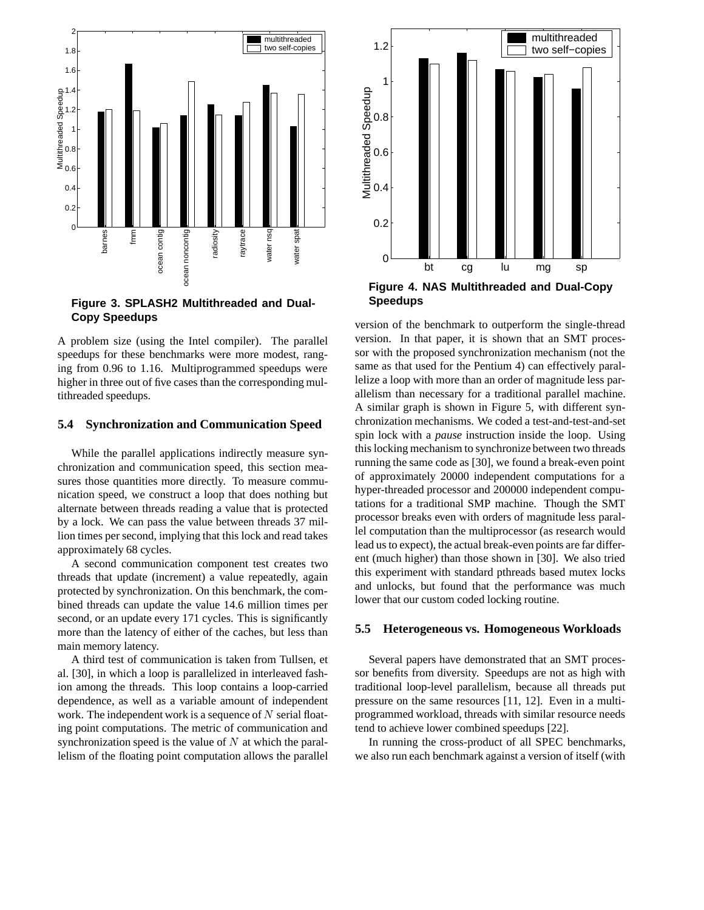

**Figure 3. SPLASH2 Multithreaded and Dual-Copy Speedups**

A problem size (using the Intel compiler). The parallel speedups for these benchmarks were more modest, ranging from 0.96 to 1.16. Multiprogrammed speedups were higher in three out of five cases than the corresponding multithreaded speedups.

#### **5.4 Synchronization and Communication Speed**

While the parallel applications indirectly measure synchronization and communication speed, this section measures those quantities more directly. To measure communication speed, we construct a loop that does nothing but alternate between threads reading a value that is protected by a lock. We can pass the value between threads 37 million times per second, implying that this lock and read takes approximately 68 cycles.

A second communication component test creates two threads that update (increment) a value repeatedly, again protected by synchronization. On this benchmark, the combined threads can update the value 14.6 million times per second, or an update every 171 cycles. This is significantly more than the latency of either of the caches, but less than main memory latency.

A third test of communication is taken from Tullsen, et al. [30], in which a loop is parallelized in interleaved fashion among the threads. This loop contains a loop-carried dependence, as well as a variable amount of independent work. The independent work is a sequence of  $N$  serial floating point computations. The metric of communication and synchronization speed is the value of  $N$  at which the parallelism of the floating point computation allows the parallel



**Speedups**

version of the benchmark to outperform the single-thread version. In that paper, it is shown that an SMT processor with the proposed synchronization mechanism (not the same as that used for the Pentium 4) can effectively parallelize a loop with more than an order of magnitude less parallelism than necessary for a traditional parallel machine. A similar graph is shown in Figure 5, with different synchronization mechanisms. We coded a test-and-test-and-set spin lock with a *pause* instruction inside the loop. Using this locking mechanism to synchronize between two threads running the same code as [30], we found a break-even point of approximately 20000 independent computations for a hyper-threaded processor and 200000 independent computations for a traditional SMP machine. Though the SMT processor breaks even with orders of magnitude less parallel computation than the multiprocessor (as research would lead us to expect), the actual break-even points are far different (much higher) than those shown in [30]. We also tried this experiment with standard pthreads based mutex locks and unlocks, but found that the performance was much lower that our custom coded locking routine.

#### **5.5 Heterogeneous vs. Homogeneous Workloads**

Several papers have demonstrated that an SMT processor benefits from diversity. Speedups are not as high with traditional loop-level parallelism, because all threads put pressure on the same resources [11, 12]. Even in a multiprogrammed workload, threads with similar resource needs tend to achieve lower combined speedups [22].

In running the cross-product of all SPEC benchmarks, we also run each benchmark against a version of itself (with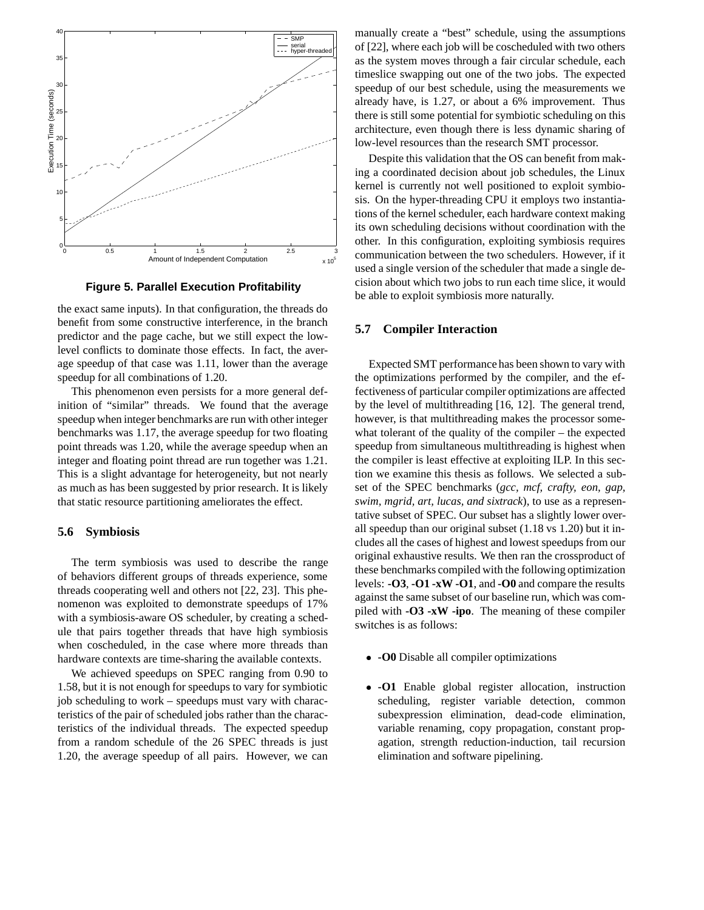

**Figure 5. Parallel Execution Profitability**

the exact same inputs). In that configuration, the threads do benefit from some constructive interference, in the branch predictor and the page cache, but we still expect the lowlevel conflicts to dominate those effects. In fact, the average speedup of that case was 1.11, lower than the average speedup for all combinations of 1.20.

This phenomenon even persists for a more general definition of "similar" threads. We found that the average speedup when integer benchmarks are run with other integer benchmarks was 1.17, the average speedup for two floating point threads was 1.20, while the average speedup when an integer and floating point thread are run together was 1.21. This is a slight advantage for heterogeneity, but not nearly as much as has been suggested by prior research. It is likely that static resource partitioning ameliorates the effect.

#### **5.6 Symbiosis**

The term symbiosis was used to describe the range of behaviors different groups of threads experience, some threads cooperating well and others not [22, 23]. This phenomenon was exploited to demonstrate speedups of 17% with a symbiosis-aware OS scheduler, by creating a schedule that pairs together threads that have high symbiosis when coscheduled, in the case where more threads than hardware contexts are time-sharing the available contexts.

We achieved speedups on SPEC ranging from 0.90 to 1.58, but it is not enough for speedups to vary for symbiotic job scheduling to work – speedups must vary with characteristics of the pair of scheduled jobs rather than the characteristics of the individual threads. The expected speedup from a random schedule of the 26 SPEC threads is just 1.20, the average speedup of all pairs. However, we can manually create a "best" schedule, using the assumptions of [22], where each job will be coscheduled with two others as the system moves through a fair circular schedule, each timeslice swapping out one of the two jobs. The expected speedup of our best schedule, using the measurements we already have, is 1.27, or about a 6% improvement. Thus there is still some potential for symbiotic scheduling on this architecture, even though there is less dynamic sharing of low-level resources than the research SMT processor.

Despite this validation that the OS can benefit from making a coordinated decision about job schedules, the Linux kernel is currently not well positioned to exploit symbiosis. On the hyper-threading CPU it employs two instantiations of the kernel scheduler, each hardware context making its own scheduling decisions without coordination with the other. In this configuration, exploiting symbiosis requires communication between the two schedulers. However, if it used a single version of the scheduler that made a single decision about which two jobs to run each time slice, it would be able to exploit symbiosis more naturally.

#### **5.7 Compiler Interaction**

Expected SMT performance has been shown to vary with the optimizations performed by the compiler, and the effectiveness of particular compiler optimizations are affected by the level of multithreading [16, 12]. The general trend, however, is that multithreading makes the processor somewhat tolerant of the quality of the compiler – the expected speedup from simultaneous multithreading is highest when the compiler is least effective at exploiting ILP. In this section we examine this thesis as follows. We selected a subset of the SPEC benchmarks (*gcc, mcf, crafty, eon, gap, swim, mgrid, art, lucas, and sixtrack*), to use as a representative subset of SPEC. Our subset has a slightly lower overall speedup than our original subset (1.18 vs 1.20) but it includes all the cases of highest and lowest speedups from our original exhaustive results. We then ran the crossproduct of these benchmarks compiled with the following optimization levels: **-O3**, **-O1 -xW -O1**, and **-O0** and compare the results against the same subset of our baseline run, which was compiled with **-O3 -xW -ipo**. The meaning of these compiler switches is as follows:

- **-O0** Disable all compiler optimizations
- **-O1** Enable global register allocation, instruction scheduling, register variable detection, common subexpression elimination, dead-code elimination, variable renaming, copy propagation, constant propagation, strength reduction-induction, tail recursion elimination and software pipelining.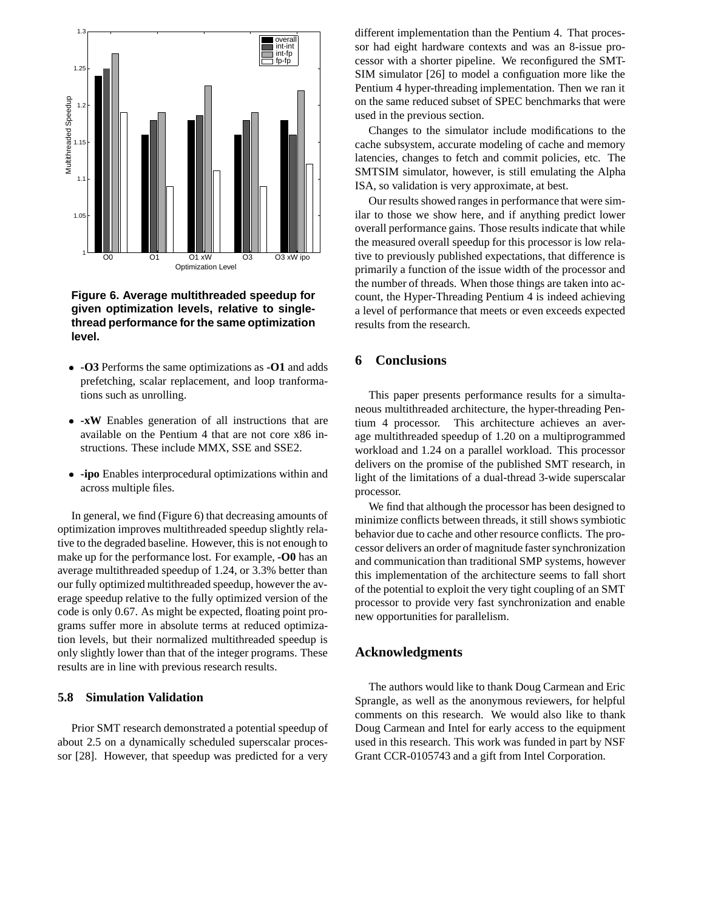

**Figure 6. Average multithreaded speedup for given optimization levels, relative to singlethread performance for the same optimization level.**

- **-O3** Performs the same optimizations as **-O1** and adds prefetching, scalar replacement, and loop tranformations such as unrolling.
- **-xW** Enables generation of all instructions that are available on the Pentium 4 that are not core x86 instructions. These include MMX, SSE and SSE2.
- **-ipo** Enables interprocedural optimizations within and across multiple files.

In general, we find (Figure 6) that decreasing amounts of optimization improves multithreaded speedup slightly relative to the degraded baseline. However, this is not enough to make up for the performance lost. For example, **-O0** has an average multithreaded speedup of 1.24, or 3.3% better than our fully optimized multithreaded speedup, however the average speedup relative to the fully optimized version of the code is only 0.67. As might be expected, floating point programs suffer more in absolute terms at reduced optimization levels, but their normalized multithreaded speedup is only slightly lower than that of the integer programs. These results are in line with previous research results.

#### **5.8 Simulation Validation**

Prior SMT research demonstrated a potential speedup of about 2.5 on a dynamically scheduled superscalar processor [28]. However, that speedup was predicted for a very

different implementation than the Pentium 4. That processor had eight hardware contexts and was an 8-issue processor with a shorter pipeline. We reconfigured the SMT-SIM simulator [26] to model a configuation more like the Pentium 4 hyper-threading implementation. Then we ran it on the same reduced subset of SPEC benchmarks that were used in the previous section.

Changes to the simulator include modifications to the cache subsystem, accurate modeling of cache and memory latencies, changes to fetch and commit policies, etc. The SMTSIM simulator, however, is still emulating the Alpha ISA, so validation is very approximate, at best.

Our results showed ranges in performance that were similar to those we show here, and if anything predict lower overall performance gains. Those results indicate that while the measured overall speedup for this processor is low relative to previously published expectations, that difference is primarily a function of the issue width of the processor and the number of threads. When those things are taken into account, the Hyper-Threading Pentium 4 is indeed achieving a level of performance that meets or even exceeds expected results from the research.

# **6 Conclusions**

This paper presents performance results for a simultaneous multithreaded architecture, the hyper-threading Pentium 4 processor. This architecture achieves an average multithreaded speedup of 1.20 on a multiprogrammed workload and 1.24 on a parallel workload. This processor delivers on the promise of the published SMT research, in light of the limitations of a dual-thread 3-wide superscalar processor.

We find that although the processor has been designed to minimize conflicts between threads, it still shows symbiotic behavior due to cache and other resource conflicts. The processor delivers an order of magnitude faster synchronization and communication than traditional SMP systems, however this implementation of the architecture seems to fall short of the potential to exploit the very tight coupling of an SMT processor to provide very fast synchronization and enable new opportunities for parallelism.

# **Acknowledgments**

The authors would like to thank Doug Carmean and Eric Sprangle, as well as the anonymous reviewers, for helpful comments on this research. We would also like to thank Doug Carmean and Intel for early access to the equipment used in this research. This work was funded in part by NSF Grant CCR-0105743 and a gift from Intel Corporation.